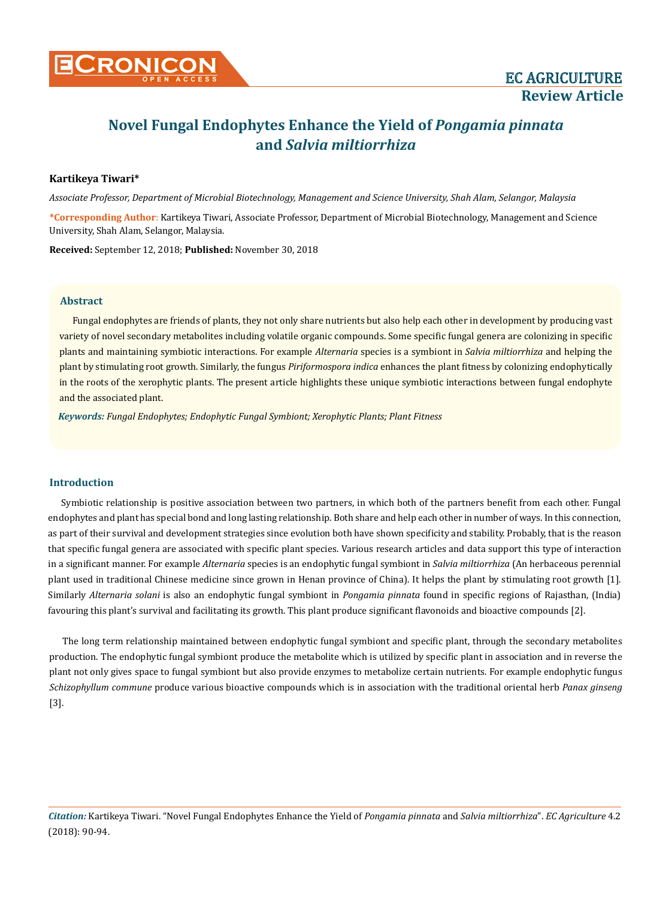# **Novel Fungal Endophytes Enhance the Yield of** *Pongamia pinnata* **and** *Salvia miltiorrhiza*

# **Kartikeya Tiwari\***

*Associate Professor, Department of Microbial Biotechnology, Management and Science University, Shah Alam, Selangor, Malaysia*

**\*Corresponding Author**: Kartikeya Tiwari, Associate Professor, Department of Microbial Biotechnology, Management and Science University, Shah Alam, Selangor, Malaysia.

**Received:** September 12, 2018; **Published:** November 30, 2018

## **Abstract**

Fungal endophytes are friends of plants, they not only share nutrients but also help each other in development by producing vast variety of novel secondary metabolites including volatile organic compounds. Some specific fungal genera are colonizing in specific plants and maintaining symbiotic interactions. For example *Alternaria* species is a symbiont in *Salvia miltiorrhiza* and helping the plant by stimulating root growth. Similarly, the fungus *Piriformospora indica* enhances the plant fitness by colonizing endophytically in the roots of the xerophytic plants. The present article highlights these unique symbiotic interactions between fungal endophyte and the associated plant.

*Keywords: Fungal Endophytes; Endophytic Fungal Symbiont; Xerophytic Plants; Plant Fitness*

### **Introduction**

Symbiotic relationship is positive association between two partners, in which both of the partners benefit from each other. Fungal endophytes and plant has special bond and long lasting relationship. Both share and help each other in number of ways. In this connection, as part of their survival and development strategies since evolution both have shown specificity and stability. Probably, that is the reason that specific fungal genera are associated with specific plant species. Various research articles and data support this type of interaction in a significant manner. For example *Alternaria* species is an endophytic fungal symbiont in *Salvia miltiorrhiza* (An herbaceous perennial plant used in traditional Chinese medicine since grown in Henan province of China). It helps the plant by stimulating root growth [1]. Similarly *Alternaria solani* is also an endophytic fungal symbiont in *Pongamia pinnata* found in specific regions of Rajasthan, (India) favouring this plant's survival and facilitating its growth. This plant produce significant flavonoids and bioactive compounds [2].

The long term relationship maintained between endophytic fungal symbiont and specific plant, through the secondary metabolites production. The endophytic fungal symbiont produce the metabolite which is utilized by specific plant in association and in reverse the plant not only gives space to fungal symbiont but also provide enzymes to metabolize certain nutrients. For example endophytic fungus *Schizophyllum commune* produce various bioactive compounds which is in association with the traditional oriental herb *Panax ginseng*  [3].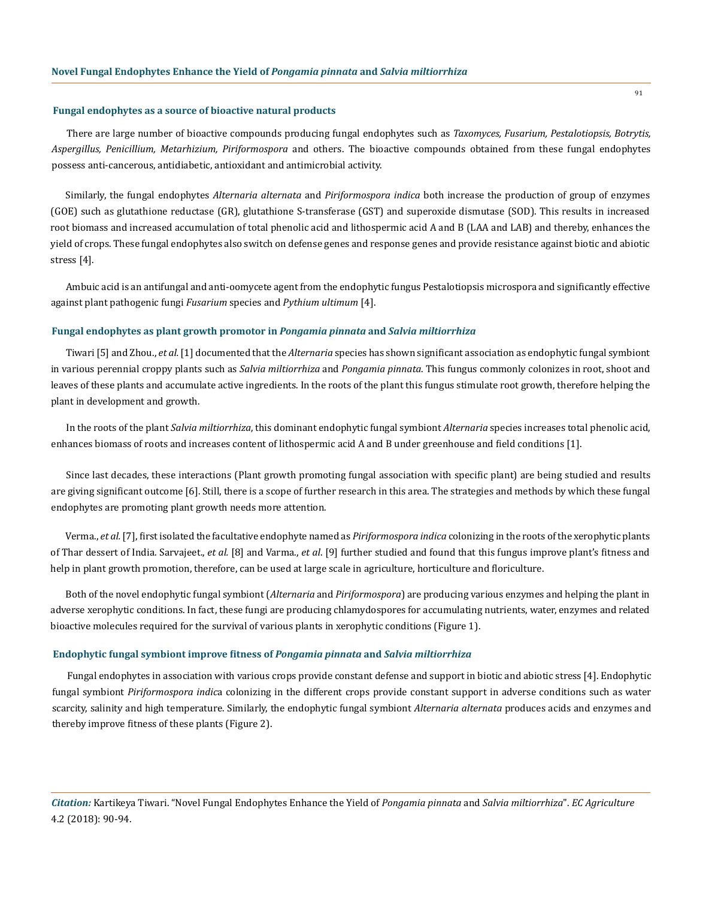#### **Fungal endophytes as a source of bioactive natural products**

There are large number of bioactive compounds producing fungal endophytes such as *Taxomyces, Fusarium, Pestalotiopsis, Botrytis, Aspergillus, Penicillium, Metarhizium, Piriformospora* and others. The bioactive compounds obtained from these fungal endophytes possess anti-cancerous, antidiabetic, antioxidant and antimicrobial activity.

Similarly, the fungal endophytes *Alternaria alternata* and *Piriformospora indica* both increase the production of group of enzymes (GOE) such as glutathione reductase (GR), glutathione S-transferase (GST) and superoxide dismutase (SOD). This results in increased root biomass and increased accumulation of total phenolic acid and lithospermic acid A and B (LAA and LAB) and thereby, enhances the yield of crops. These fungal endophytes also switch on defense genes and response genes and provide resistance against biotic and abiotic stress [4].

Ambuic acid is an antifungal and anti-oomycete agent from the endophytic fungus Pestalotiopsis microspora and significantly effective against plant pathogenic fungi *Fusarium* species and *Pythium ultimum* [4].

#### **Fungal endophytes as plant growth promotor in** *Pongamia pinnata* **and** *Salvia miltiorrhiza*

Tiwari [5] and Zhou., *et al.* [1] documented that the *Alternaria* species has shown significant association as endophytic fungal symbiont in various perennial croppy plants such as *Salvia miltiorrhiza* and *Pongamia pinnata*. This fungus commonly colonizes in root, shoot and leaves of these plants and accumulate active ingredients. In the roots of the plant this fungus stimulate root growth, therefore helping the plant in development and growth.

In the roots of the plant *Salvia miltiorrhiza*, this dominant endophytic fungal symbiont *Alternaria* species increases total phenolic acid, enhances biomass of roots and increases content of lithospermic acid A and B under greenhouse and field conditions [1].

Since last decades, these interactions (Plant growth promoting fungal association with specific plant) are being studied and results are giving significant outcome [6]. Still, there is a scope of further research in this area. The strategies and methods by which these fungal endophytes are promoting plant growth needs more attention.

Verma., *et al.* [7], first isolated the facultative endophyte named as *Piriformospora indica* colonizing in the roots of the xerophytic plants of Thar dessert of India. Sarvajeet., *et al.* [8] and Varma., *et al*. [9] further studied and found that this fungus improve plant's fitness and help in plant growth promotion, therefore, can be used at large scale in agriculture, horticulture and floriculture.

Both of the novel endophytic fungal symbiont (*Alternaria* and *Piriformospora*) are producing various enzymes and helping the plant in adverse xerophytic conditions. In fact, these fungi are producing chlamydospores for accumulating nutrients, water, enzymes and related bioactive molecules required for the survival of various plants in xerophytic conditions (Figure 1).

#### **Endophytic fungal symbiont improve fitness of** *Pongamia pinnata* **and** *Salvia miltiorrhiza*

Fungal endophytes in association with various crops provide constant defense and support in biotic and abiotic stress [4]. Endophytic fungal symbiont *Piriformospora indic*a colonizing in the different crops provide constant support in adverse conditions such as water scarcity, salinity and high temperature. Similarly, the endophytic fungal symbiont *Alternaria alternata* produces acids and enzymes and thereby improve fitness of these plants (Figure 2).

91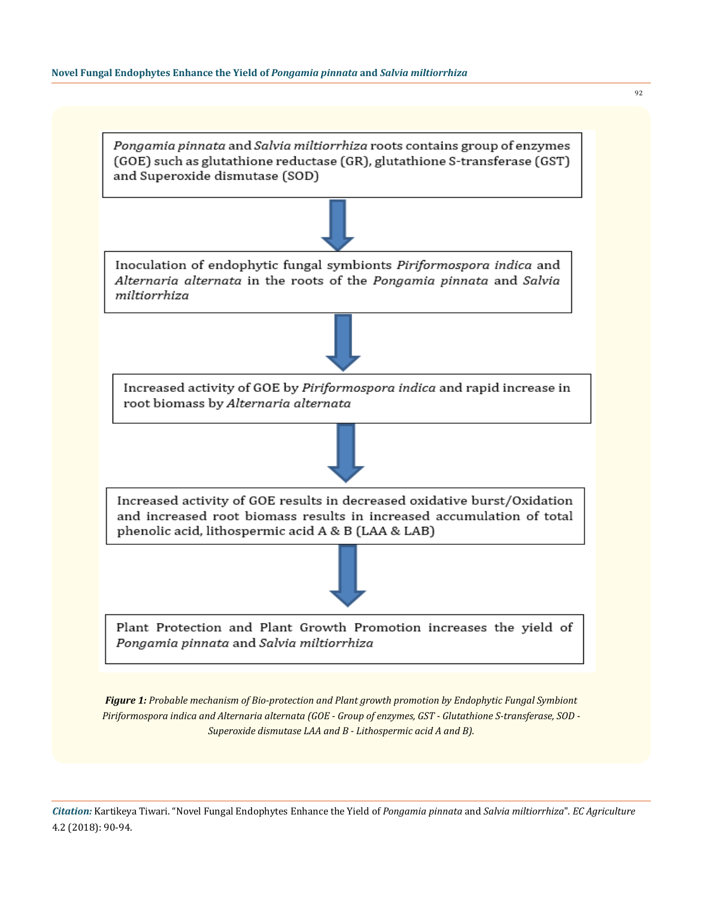

*Figure 1: Probable mechanism of Bio-protection and Plant growth promotion by Endophytic Fungal Symbiont Piriformospora indica and Alternaria alternata (GOE - Group of enzymes, GST - Glutathione S-transferase, SOD - Superoxide dismutase LAA and B - Lithospermic acid A and B).*

*Citation:* Kartikeya Tiwari. "Novel Fungal Endophytes Enhance the Yield of *Pongamia pinnata* and *Salvia miltiorrhiza*". *EC Agriculture*  4.2 (2018): 90-94.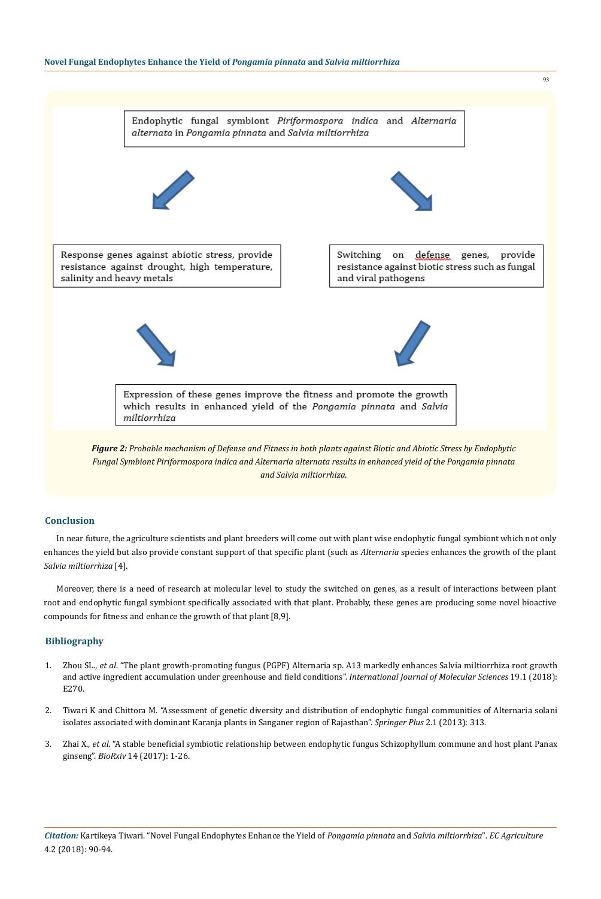

*Fungal Symbiont Piriformospora indica and Alternaria alternata results in enhanced yield of the Pongamia pinnata and Salvia miltiorrhiza.*

## **Conclusion**

In near future, the agriculture scientists and plant breeders will come out with plant wise endophytic fungal symbiont which not only enhances the yield but also provide constant support of that specific plant (such as *Alternaria* species enhances the growth of the plant *Salvia miltiorrhiza* [4].

Moreover, there is a need of research at molecular level to study the switched on genes, as a result of interactions between plant root and endophytic fungal symbiont specifically associated with that plant. Probably, these genes are producing some novel bioactive compounds for fitness and enhance the growth of that plant [8,9].

# **Bibliography**

- 1. Zhou SL., *et al*[. "The plant growth-promoting fungus \(PGPF\) Alternaria sp. A13 markedly enhances Salvia miltiorrhiza root growth](https://www.ncbi.nlm.nih.gov/pubmed/29337927)  [and active ingredient accumulation under greenhouse and field conditions".](https://www.ncbi.nlm.nih.gov/pubmed/29337927) *International Journal of Molecular Sciences* 19.1 (2018): [E270.](https://www.ncbi.nlm.nih.gov/pubmed/29337927)
- 2. [Tiwari K and Chittora M. "Assessment of genetic diversity and distribution of endophytic fungal communities of Alternaria solani](https://www.ncbi.nlm.nih.gov/pubmed/23888281)  [isolates associated with dominant Karanja plants in Sanganer region of Rajasthan".](https://www.ncbi.nlm.nih.gov/pubmed/23888281) *Springer Plus* 2.1 (2013): 313.
- 3. Zhai X., *et al*[. "A stable beneficial symbiotic relationship between endophytic fungus Schizophyllum commune and host plant Panax](https://www.biorxiv.org/content/biorxiv/early/2017/08/14/175885.full.pdf)  ginseng". *BioRxiv* [14 \(2017\): 1-26.](https://www.biorxiv.org/content/biorxiv/early/2017/08/14/175885.full.pdf)